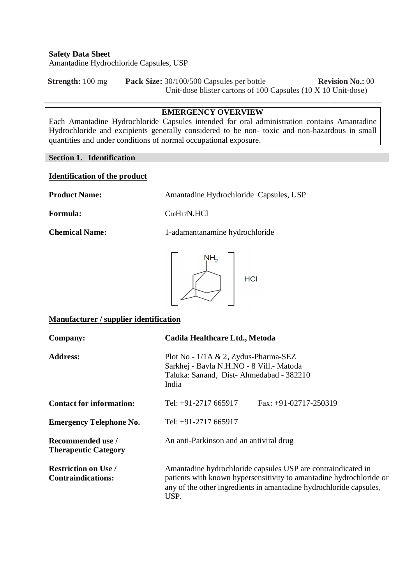**Strength:**  $100 \text{ mg}$  **Pack Size:**  $30/100/500$  Capsules per bottle **Revision No.:** 00 Unit-dose blister cartons of 100 Capsules (10 X 10 Unit-dose)

# $\_$  ,  $\_$  ,  $\_$  ,  $\_$  ,  $\_$  ,  $\_$  ,  $\_$  ,  $\_$  ,  $\_$  ,  $\_$  ,  $\_$  ,  $\_$  ,  $\_$  ,  $\_$  ,  $\_$  ,  $\_$  ,  $\_$  ,  $\_$  ,  $\_$  ,  $\_$  ,  $\_$  ,  $\_$  ,  $\_$  ,  $\_$  ,  $\_$  ,  $\_$  ,  $\_$  ,  $\_$  ,  $\_$  ,  $\_$  ,  $\_$  ,  $\_$  ,  $\_$  ,  $\_$  ,  $\_$  ,  $\_$  ,  $\_$  , **EMERGENCY OVERVIEW**

Each Amantadine Hydrochloride Capsules intended for oral administration contains Amantadine Hydrochloride and excipients generally considered to be non- toxic and non-hazardous in small quantities and under conditions of normal occupational exposure.

# **Section 1. Identification**

### **Identification of the product**

**Product Name:** Amantadine Hydrochloride Capsules, USP

Formula: C<sub>10</sub>H<sub>17</sub>N.HCl

**Chemical Name:** 1-adamantanamine hydrochloride



## **Manufacturer / supplier identification**

| Company:                                                 | Cadila Healthcare Ltd., Metoda                                                                                                                                                                                    |  |  |
|----------------------------------------------------------|-------------------------------------------------------------------------------------------------------------------------------------------------------------------------------------------------------------------|--|--|
| <b>Address:</b>                                          | Plot No - $1/1A \& 2$ , Zydus-Pharma-SEZ<br>Sarkhej - Bavla N.H.NO - 8 Vill.- Matoda<br>Taluka: Sanand, Dist-Ahmedabad - 382210<br>India                                                                          |  |  |
| <b>Contact for information:</b>                          | Tel: $+91-2717665917$<br>Fax: $+91-02717-250319$                                                                                                                                                                  |  |  |
| <b>Emergency Telephone No.</b>                           | Tel: $+91-2717665917$                                                                                                                                                                                             |  |  |
| Recommended use /<br><b>Therapeutic Category</b>         | An anti-Parkinson and an antiviral drug                                                                                                                                                                           |  |  |
| <b>Restriction on Use /</b><br><b>Contraindications:</b> | Amantadine hydrochloride capsules USP are contraindicated in<br>patients with known hypersensitivity to amantadine hydrochloride or<br>any of the other ingredients in amantadine hydrochloride capsules,<br>USP. |  |  |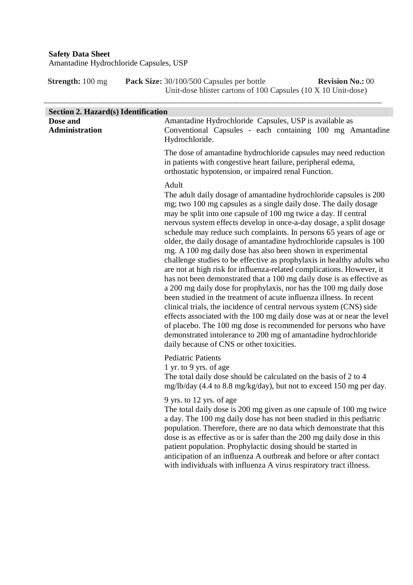**Strength:** 100 mg **Pack Size:** 30/100/500 Capsules per bottle **Revision No.:** 00 Unit-dose blister cartons of 100 Capsules (10 X 10 Unit-dose)

| <b>Section 2. Hazard(s) Identification</b> |                                                                                                                                                                                                                                                                                                                                                                                                                                                                                                                                                                                                                                                                                                                                                                                                                                                                                                                                                                                                                                                                                                                                                                                                                   |
|--------------------------------------------|-------------------------------------------------------------------------------------------------------------------------------------------------------------------------------------------------------------------------------------------------------------------------------------------------------------------------------------------------------------------------------------------------------------------------------------------------------------------------------------------------------------------------------------------------------------------------------------------------------------------------------------------------------------------------------------------------------------------------------------------------------------------------------------------------------------------------------------------------------------------------------------------------------------------------------------------------------------------------------------------------------------------------------------------------------------------------------------------------------------------------------------------------------------------------------------------------------------------|
| Dose and<br><b>Administration</b>          | Amantadine Hydrochloride Capsules, USP is available as<br>Conventional Capsules - each containing 100 mg Amantadine<br>Hydrochloride.                                                                                                                                                                                                                                                                                                                                                                                                                                                                                                                                                                                                                                                                                                                                                                                                                                                                                                                                                                                                                                                                             |
|                                            | The dose of amantadine hydrochloride capsules may need reduction<br>in patients with congestive heart failure, peripheral edema,<br>orthostatic hypotension, or impaired renal Function.                                                                                                                                                                                                                                                                                                                                                                                                                                                                                                                                                                                                                                                                                                                                                                                                                                                                                                                                                                                                                          |
|                                            | Adult<br>The adult daily dosage of amantadine hydrochloride capsules is 200<br>mg; two 100 mg capsules as a single daily dose. The daily dosage<br>may be split into one capsule of 100 mg twice a day. If central<br>nervous system effects develop in once-a-day dosage, a split dosage<br>schedule may reduce such complaints. In persons 65 years of age or<br>older, the daily dosage of amantadine hydrochloride capsules is 100<br>mg. A 100 mg daily dose has also been shown in experimental<br>challenge studies to be effective as prophylaxis in healthy adults who<br>are not at high risk for influenza-related complications. However, it<br>has not been demonstrated that a 100 mg daily dose is as effective as<br>a 200 mg daily dose for prophylaxis, nor has the 100 mg daily dose<br>been studied in the treatment of acute influenza illness. In recent<br>clinical trials, the incidence of central nervous system (CNS) side<br>effects associated with the 100 mg daily dose was at or near the level<br>of placebo. The 100 mg dose is recommended for persons who have<br>demonstrated intolerance to 200 mg of amantadine hydrochloride<br>daily because of CNS or other toxicities. |
|                                            | <b>Pediatric Patients</b><br>1 yr. to 9 yrs. of age<br>The total daily dose should be calculated on the basis of 2 to 4<br>mg/lb/day (4.4 to 8.8 mg/kg/day), but not to exceed 150 mg per day.                                                                                                                                                                                                                                                                                                                                                                                                                                                                                                                                                                                                                                                                                                                                                                                                                                                                                                                                                                                                                    |
|                                            | 9 yrs. to 12 yrs. of age<br>The total daily dose is 200 mg given as one capsule of 100 mg twice<br>a day. The 100 mg daily dose has not been studied in this pediatric<br>population. Therefore, there are no data which demonstrate that this<br>dose is as effective as or is safer than the 200 mg daily dose in this<br>patient population. Prophylactic dosing should be started in<br>anticipation of an influenza A outbreak and before or after contact<br>with individuals with influenza A virus respiratory tract illness.                                                                                                                                                                                                                                                                                                                                                                                                                                                                                                                                                                                                                                                                             |
|                                            |                                                                                                                                                                                                                                                                                                                                                                                                                                                                                                                                                                                                                                                                                                                                                                                                                                                                                                                                                                                                                                                                                                                                                                                                                   |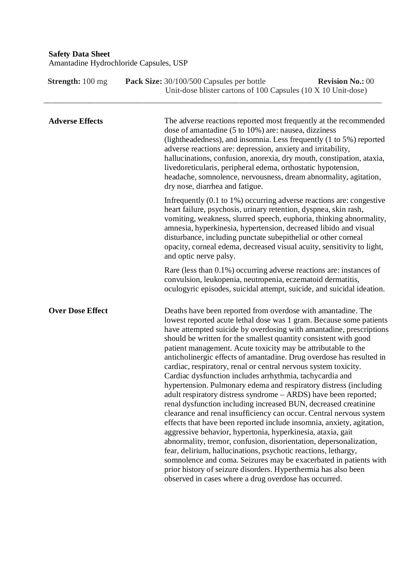| <b>Strength:</b> 100 mg | Pack Size: 30/100/500 Capsules per bottle<br><b>Revision No.: 00</b><br>Unit-dose blister cartons of 100 Capsules (10 X 10 Unit-dose)                                                                                                                                                                                                                                                                                                                                                                                                                                                                                                                                                                                                                                                                                                                                                                                                                                                                                                                                                                                                                                                                                                                                                                                    |
|-------------------------|--------------------------------------------------------------------------------------------------------------------------------------------------------------------------------------------------------------------------------------------------------------------------------------------------------------------------------------------------------------------------------------------------------------------------------------------------------------------------------------------------------------------------------------------------------------------------------------------------------------------------------------------------------------------------------------------------------------------------------------------------------------------------------------------------------------------------------------------------------------------------------------------------------------------------------------------------------------------------------------------------------------------------------------------------------------------------------------------------------------------------------------------------------------------------------------------------------------------------------------------------------------------------------------------------------------------------|
| <b>Adverse Effects</b>  | The adverse reactions reported most frequently at the recommended<br>dose of amantadine (5 to 10%) are: nausea, dizziness<br>(lightheadedness), and insomnia. Less frequently (1 to 5%) reported<br>adverse reactions are: depression, anxiety and irritability,<br>hallucinations, confusion, anorexia, dry mouth, constipation, ataxia,<br>livedoreticularis, peripheral edema, orthostatic hypotension,<br>headache, somnolence, nervousness, dream abnormality, agitation,<br>dry nose, diarrhea and fatigue.                                                                                                                                                                                                                                                                                                                                                                                                                                                                                                                                                                                                                                                                                                                                                                                                        |
|                         | Infrequently (0.1 to 1%) occurring adverse reactions are: congestive<br>heart failure, psychosis, urinary retention, dyspnea, skin rash,<br>vomiting, weakness, slurred speech, euphoria, thinking abnormality,<br>amnesia, hyperkinesia, hypertension, decreased libido and visual<br>disturbance, including punctate subepithelial or other corneal<br>opacity, corneal edema, decreased visual acuity, sensitivity to light,<br>and optic nerve palsy.                                                                                                                                                                                                                                                                                                                                                                                                                                                                                                                                                                                                                                                                                                                                                                                                                                                                |
|                         | Rare (less than $0.1\%$ ) occurring adverse reactions are: instances of<br>convulsion, leukopenia, neutropenia, eczematoid dermatitis,<br>oculogyric episodes, suicidal attempt, suicide, and suicidal ideation.                                                                                                                                                                                                                                                                                                                                                                                                                                                                                                                                                                                                                                                                                                                                                                                                                                                                                                                                                                                                                                                                                                         |
| <b>Over Dose Effect</b> | Deaths have been reported from overdose with amantadine. The<br>lowest reported acute lethal dose was 1 gram. Because some patients<br>have attempted suicide by overdosing with amantadine, prescriptions<br>should be written for the smallest quantity consistent with good<br>patient management. Acute toxicity may be attributable to the<br>anticholinergic effects of amantadine. Drug overdose has resulted in<br>cardiac, respiratory, renal or central nervous system toxicity.<br>Cardiac dysfunction includes arrhythmia, tachycardia and<br>hypertension. Pulmonary edema and respiratory distress (including<br>adult respiratory distress syndrome - ARDS) have been reported;<br>renal dysfunction including increased BUN, decreased creatinine<br>clearance and renal insufficiency can occur. Central nervous system<br>effects that have been reported include insomnia, anxiety, agitation,<br>aggressive behavior, hypertonia, hyperkinesia, ataxia, gait<br>abnormality, tremor, confusion, disorientation, depersonalization,<br>fear, delirium, hallucinations, psychotic reactions, lethargy,<br>somnolence and coma. Seizures may be exacerbated in patients with<br>prior history of seizure disorders. Hyperthermia has also been<br>observed in cases where a drug overdose has occurred. |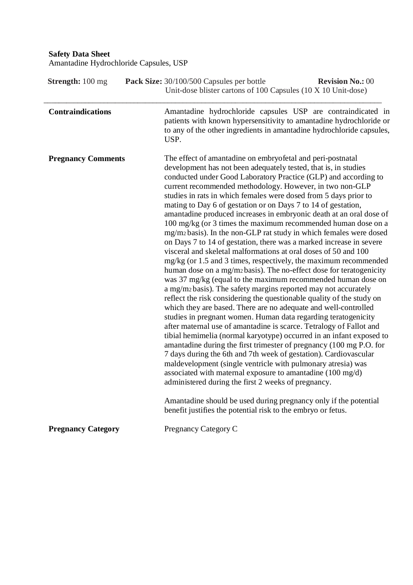| <b>Strength:</b> 100 mg   | Pack Size: 30/100/500 Capsules per bottle<br><b>Revision No.: 00</b><br>Unit-dose blister cartons of 100 Capsules (10 X 10 Unit-dose)                                                                                                                                                                                                                                                                                                                                                                                                                                                                                                                                                                                                                                                                                                                                                                                                                                                                                                                                                                                                                                                                                                                                                                                                                                                                                                                                                                                                                                                                                                                                                                                                                                                                                                                                   |
|---------------------------|-------------------------------------------------------------------------------------------------------------------------------------------------------------------------------------------------------------------------------------------------------------------------------------------------------------------------------------------------------------------------------------------------------------------------------------------------------------------------------------------------------------------------------------------------------------------------------------------------------------------------------------------------------------------------------------------------------------------------------------------------------------------------------------------------------------------------------------------------------------------------------------------------------------------------------------------------------------------------------------------------------------------------------------------------------------------------------------------------------------------------------------------------------------------------------------------------------------------------------------------------------------------------------------------------------------------------------------------------------------------------------------------------------------------------------------------------------------------------------------------------------------------------------------------------------------------------------------------------------------------------------------------------------------------------------------------------------------------------------------------------------------------------------------------------------------------------------------------------------------------------|
| <b>Contraindications</b>  | Amantadine hydrochloride capsules USP are contraindicated in<br>patients with known hypersensitivity to amantadine hydrochloride or<br>to any of the other ingredients in amantadine hydrochloride capsules,<br>USP.                                                                                                                                                                                                                                                                                                                                                                                                                                                                                                                                                                                                                                                                                                                                                                                                                                                                                                                                                                                                                                                                                                                                                                                                                                                                                                                                                                                                                                                                                                                                                                                                                                                    |
| <b>Pregnancy Comments</b> | The effect of amantadine on embryofetal and peri-postnatal<br>development has not been adequately tested, that is, in studies<br>conducted under Good Laboratory Practice (GLP) and according to<br>current recommended methodology. However, in two non-GLP<br>studies in rats in which females were dosed from 5 days prior to<br>mating to Day 6 of gestation or on Days 7 to 14 of gestation,<br>amantadine produced increases in embryonic death at an oral dose of<br>100 mg/kg (or 3 times the maximum recommended human dose on a<br>mg/m2 basis). In the non-GLP rat study in which females were dosed<br>on Days 7 to 14 of gestation, there was a marked increase in severe<br>visceral and skeletal malformations at oral doses of 50 and 100<br>mg/kg (or 1.5 and 3 times, respectively, the maximum recommended<br>human dose on a mg/mz basis). The no-effect dose for teratogenicity<br>was 37 mg/kg (equal to the maximum recommended human dose on<br>a mg/m2 basis). The safety margins reported may not accurately<br>reflect the risk considering the questionable quality of the study on<br>which they are based. There are no adequate and well-controlled<br>studies in pregnant women. Human data regarding teratogenicity<br>after maternal use of amantadine is scarce. Tetralogy of Fallot and<br>tibial hemimelia (normal karyotype) occurred in an infant exposed to<br>amantadine during the first trimester of pregnancy (100 mg P.O. for<br>7 days during the 6th and 7th week of gestation). Cardiovascular<br>maldevelopment (single ventricle with pulmonary atresia) was<br>associated with maternal exposure to amantadine (100 mg/d)<br>administered during the first 2 weeks of pregnancy.<br>Amantadine should be used during pregnancy only if the potential<br>benefit justifies the potential risk to the embryo or fetus. |
| <b>Pregnancy Category</b> | Pregnancy Category C                                                                                                                                                                                                                                                                                                                                                                                                                                                                                                                                                                                                                                                                                                                                                                                                                                                                                                                                                                                                                                                                                                                                                                                                                                                                                                                                                                                                                                                                                                                                                                                                                                                                                                                                                                                                                                                    |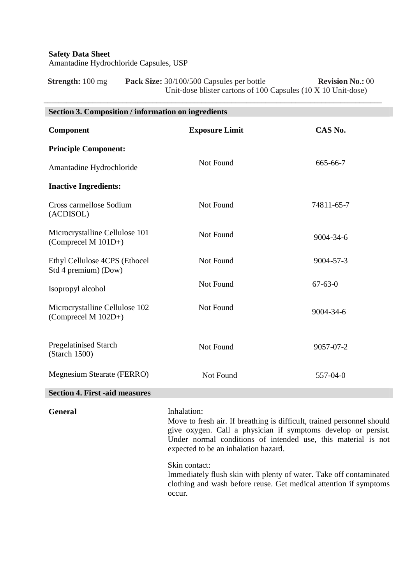**Strength:**  $100 \text{ mg}$  **Pack Size:**  $30/100/500$  Capsules per bottle **Revision No.:** 00 Unit-dose blister cartons of 100 Capsules (10 X 10 Unit-dose)

\_\_\_\_\_\_\_\_\_\_\_\_\_\_\_\_\_\_\_\_\_\_\_\_\_\_\_\_\_\_\_\_\_\_\_\_\_\_\_\_\_\_\_\_\_\_\_\_\_\_\_\_\_\_\_\_\_\_\_\_\_\_\_\_\_\_\_\_\_\_\_\_\_\_\_\_\_\_\_\_\_\_\_\_\_\_\_\_\_\_

| <b>Section 3. Composition / information on ingredients</b> |                       |               |
|------------------------------------------------------------|-----------------------|---------------|
| Component                                                  | <b>Exposure Limit</b> | CAS No.       |
| <b>Principle Component:</b>                                |                       |               |
| Amantadine Hydrochloride                                   | Not Found             | 665-66-7      |
| <b>Inactive Ingredients:</b>                               |                       |               |
| Cross carmellose Sodium<br>(ACDISOL)                       | Not Found             | 74811-65-7    |
| Microcrystalline Cellulose 101<br>(Comprecel M $101D+$ )   | Not Found             | 9004-34-6     |
| Ethyl Cellulose 4CPS (Ethocel<br>Std 4 premium) (Dow)      | Not Found             | 9004-57-3     |
| Isopropyl alcohol                                          | Not Found             | $67 - 63 - 0$ |
| Microcrystalline Cellulose 102<br>(Comprecel M 102D+)      | Not Found             | 9004-34-6     |
| <b>Pregelatinised Starch</b><br>(Starch 1500)              | Not Found             | 9057-07-2     |
| <b>Megnesium Stearate (FERRO)</b>                          | Not Found             | 557-04-0      |
| <b>Section 4. First -aid measures</b>                      |                       |               |
|                                                            |                       |               |

General **Inhalation:** 

Move to fresh air. If breathing is difficult, trained personnel should give oxygen. Call a physician if symptoms develop or persist. Under normal conditions of intended use, this material is not expected to be an inhalation hazard.

Skin contact:

Immediately flush skin with plenty of water. Take off contaminated clothing and wash before reuse. Get medical attention if symptoms occur.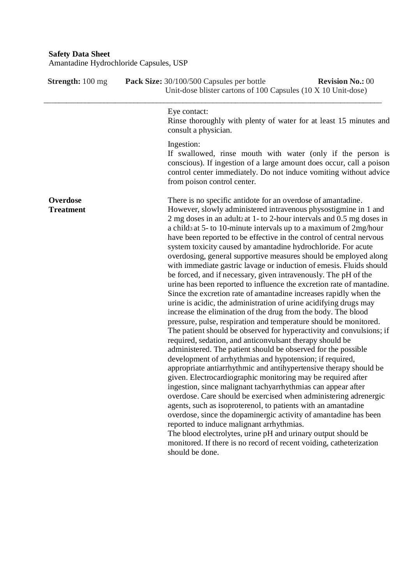| Amantadine Hydrochloride Capsules, USP |                                                                                                                                                                                                                                                                                                                                                                                                                                                                                                                                                                                                                                                                                                                                                                                                                                                                                                                                                                                                                                                                                                                                                                                                                                                                                                                                                                                                                                                                                                                                                                                                                                                                                                                                                                                                                                                                                     |  |
|----------------------------------------|-------------------------------------------------------------------------------------------------------------------------------------------------------------------------------------------------------------------------------------------------------------------------------------------------------------------------------------------------------------------------------------------------------------------------------------------------------------------------------------------------------------------------------------------------------------------------------------------------------------------------------------------------------------------------------------------------------------------------------------------------------------------------------------------------------------------------------------------------------------------------------------------------------------------------------------------------------------------------------------------------------------------------------------------------------------------------------------------------------------------------------------------------------------------------------------------------------------------------------------------------------------------------------------------------------------------------------------------------------------------------------------------------------------------------------------------------------------------------------------------------------------------------------------------------------------------------------------------------------------------------------------------------------------------------------------------------------------------------------------------------------------------------------------------------------------------------------------------------------------------------------------|--|
| <b>Strength:</b> 100 mg                | <b>Revision No.: 00</b><br>Pack Size: 30/100/500 Capsules per bottle<br>Unit-dose blister cartons of 100 Capsules (10 X 10 Unit-dose)                                                                                                                                                                                                                                                                                                                                                                                                                                                                                                                                                                                                                                                                                                                                                                                                                                                                                                                                                                                                                                                                                                                                                                                                                                                                                                                                                                                                                                                                                                                                                                                                                                                                                                                                               |  |
|                                        | Eye contact:<br>Rinse thoroughly with plenty of water for at least 15 minutes and<br>consult a physician.                                                                                                                                                                                                                                                                                                                                                                                                                                                                                                                                                                                                                                                                                                                                                                                                                                                                                                                                                                                                                                                                                                                                                                                                                                                                                                                                                                                                                                                                                                                                                                                                                                                                                                                                                                           |  |
|                                        | Ingestion:<br>If swallowed, rinse mouth with water (only if the person is<br>conscious). If ingestion of a large amount does occur, call a poison<br>control center immediately. Do not induce vomiting without advice<br>from poison control center.                                                                                                                                                                                                                                                                                                                                                                                                                                                                                                                                                                                                                                                                                                                                                                                                                                                                                                                                                                                                                                                                                                                                                                                                                                                                                                                                                                                                                                                                                                                                                                                                                               |  |
| Overdose<br><b>Treatment</b>           | There is no specific antidote for an overdose of amantadine.<br>However, slowly administered intravenous physostigmine in 1 and<br>2 mg doses in an adultz at 1-to 2-hour intervals and 0.5 mg doses in<br>a childs at 5- to 10-minute intervals up to a maximum of 2mg/hour<br>have been reported to be effective in the control of central nervous<br>system toxicity caused by amantadine hydrochloride. For acute<br>overdosing, general supportive measures should be employed along<br>with immediate gastric lavage or induction of emesis. Fluids should<br>be forced, and if necessary, given intravenously. The pH of the<br>urine has been reported to influence the excretion rate of mantadine.<br>Since the excretion rate of amantadine increases rapidly when the<br>urine is acidic, the administration of urine acidifying drugs may<br>increase the elimination of the drug from the body. The blood<br>pressure, pulse, respiration and temperature should be monitored.<br>The patient should be observed for hyperactivity and convulsions; if<br>required, sedation, and anticonvulsant therapy should be<br>administered. The patient should be observed for the possible<br>development of arrhythmias and hypotension; if required,<br>appropriate antiarrhythmic and antihypertensive therapy should be<br>given. Electrocardiographic monitoring may be required after<br>ingestion, since malignant tachyarrhythmias can appear after<br>overdose. Care should be exercised when administering adrenergic<br>agents, such as isoproterenol, to patients with an amantadine<br>overdose, since the dopaminergic activity of amantadine has been<br>reported to induce malignant arrhythmias.<br>The blood electrolytes, urine pH and urinary output should be<br>monitored. If there is no record of recent voiding, catheterization<br>should be done. |  |

**Safety Data Sheet**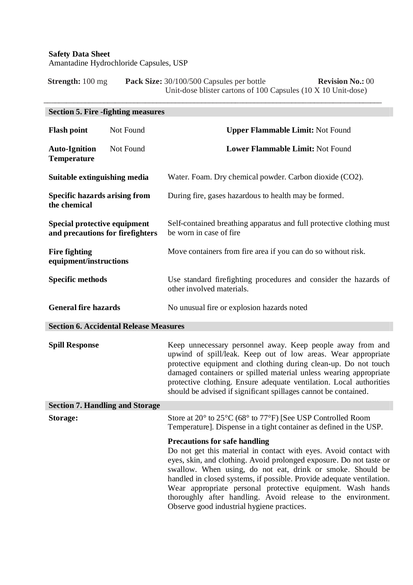**Strength:** 100 mg **Pack Size:** 30/100/500 Capsules per bottle **Revision No.:** 00 Unit-dose blister cartons of 100 Capsules (10 X 10 Unit-dose)

\_\_\_\_\_\_\_\_\_\_\_\_\_\_\_\_\_\_\_\_\_\_\_\_\_\_\_\_\_\_\_\_\_\_\_\_\_\_\_\_\_\_\_\_\_\_\_\_\_\_\_\_\_\_\_\_\_\_\_\_\_\_\_\_\_\_\_\_\_\_\_\_\_\_\_\_\_\_\_\_\_\_\_\_\_\_\_\_\_\_

|                                                                  | <b>Section 5. Fire -fighting measures</b>     |                                                                                                                                                                                                                                                                                                                                                                                                                                                                                                     |  |
|------------------------------------------------------------------|-----------------------------------------------|-----------------------------------------------------------------------------------------------------------------------------------------------------------------------------------------------------------------------------------------------------------------------------------------------------------------------------------------------------------------------------------------------------------------------------------------------------------------------------------------------------|--|
| <b>Flash point</b>                                               | Not Found                                     | <b>Upper Flammable Limit: Not Found</b>                                                                                                                                                                                                                                                                                                                                                                                                                                                             |  |
| <b>Auto-Ignition</b><br><b>Temperature</b>                       | Not Found                                     | Lower Flammable Limit: Not Found                                                                                                                                                                                                                                                                                                                                                                                                                                                                    |  |
| Suitable extinguishing media                                     |                                               | Water. Foam. Dry chemical powder. Carbon dioxide (CO2).                                                                                                                                                                                                                                                                                                                                                                                                                                             |  |
| <b>Specific hazards arising from</b><br>the chemical             |                                               | During fire, gases hazardous to health may be formed.                                                                                                                                                                                                                                                                                                                                                                                                                                               |  |
| Special protective equipment<br>and precautions for firefighters |                                               | Self-contained breathing apparatus and full protective clothing must<br>be worn in case of fire                                                                                                                                                                                                                                                                                                                                                                                                     |  |
| <b>Fire fighting</b><br>equipment/instructions                   |                                               | Move containers from fire area if you can do so without risk.                                                                                                                                                                                                                                                                                                                                                                                                                                       |  |
| <b>Specific methods</b>                                          |                                               | Use standard firefighting procedures and consider the hazards of<br>other involved materials.                                                                                                                                                                                                                                                                                                                                                                                                       |  |
| <b>General fire hazards</b>                                      |                                               | No unusual fire or explosion hazards noted                                                                                                                                                                                                                                                                                                                                                                                                                                                          |  |
|                                                                  | <b>Section 6. Accidental Release Measures</b> |                                                                                                                                                                                                                                                                                                                                                                                                                                                                                                     |  |
| <b>Spill Response</b>                                            |                                               | Keep unnecessary personnel away. Keep people away from and<br>upwind of spill/leak. Keep out of low areas. Wear appropriate<br>protective equipment and clothing during clean-up. Do not touch<br>damaged containers or spilled material unless wearing appropriate<br>protective clothing. Ensure adequate ventilation. Local authorities<br>should be advised if significant spillages cannot be contained.                                                                                       |  |
|                                                                  | <b>Section 7. Handling and Storage</b>        |                                                                                                                                                                                                                                                                                                                                                                                                                                                                                                     |  |
| Storage:                                                         |                                               | Store at 20° to 25°C (68° to 77°F) [See USP Controlled Room<br>Temperature]. Dispense in a tight container as defined in the USP.                                                                                                                                                                                                                                                                                                                                                                   |  |
|                                                                  |                                               | <b>Precautions for safe handling</b><br>Do not get this material in contact with eyes. Avoid contact with<br>eyes, skin, and clothing. Avoid prolonged exposure. Do not taste or<br>swallow. When using, do not eat, drink or smoke. Should be<br>handled in closed systems, if possible. Provide adequate ventilation.<br>Wear appropriate personal protective equipment. Wash hands<br>thoroughly after handling. Avoid release to the environment.<br>Observe good industrial hygiene practices. |  |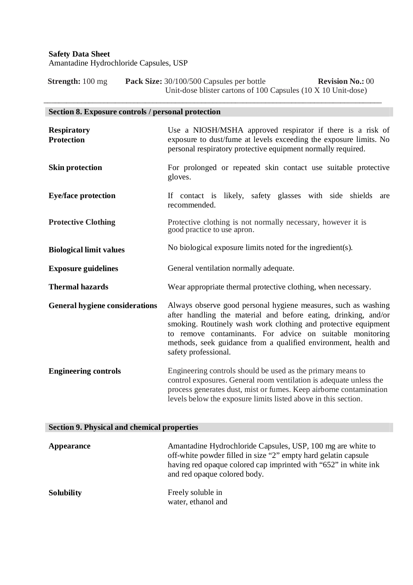**Strength:** 100 mg **Pack Size:** 30/100/500 Capsules per bottle **Revision No.:** 00 Unit-dose blister cartons of 100 Capsules (10 X 10 Unit-dose)

\_\_\_\_\_\_\_\_\_\_\_\_\_\_\_\_\_\_\_\_\_\_\_\_\_\_\_\_\_\_\_\_\_\_\_\_\_\_\_\_\_\_\_\_\_\_\_\_\_\_\_\_\_\_\_\_\_\_\_\_\_\_\_\_\_\_\_\_\_\_\_\_\_\_\_\_\_\_\_\_\_\_\_\_\_\_\_\_\_\_

# **Section 8. Exposure controls / personal protection Respiratory Protection Skin protection Eye/face protection Protective Clothing Biological limit values** Use a NIOSH/MSHA approved respirator if there is a risk of exposure to dust/fume at levels exceeding the exposure limits. No personal respiratory protective equipment normally required. For prolonged or repeated skin contact use suitable protective gloves. If contact is likely, safety glasses with side shields are recommended. Protective clothing is not normally necessary, however it is good practice to use apron. No biological exposure limits noted for the ingredient(s). **Exposure guidelines** General ventilation normally adequate. **Thermal hazards** Wear appropriate thermal protective clothing, when necessary. **General hygiene considerations Engineering controls** Always observe good personal hygiene measures, such as washing after handling the material and before eating, drinking, and/or smoking. Routinely wash work clothing and protective equipment to remove contaminants. For advice on suitable monitoring methods, seek guidance from a qualified environment, health and safety professional. Engineering controls should be used as the primary means to control exposures. General room ventilation is adequate unless the process generates dust, mist or fumes. Keep airborne contamination levels below the exposure limits listed above in this section.

#### **Section 9. Physical and chemical properties**

| Appearance        | Amantadine Hydrochloride Capsules, USP, 100 mg are white to<br>off-white powder filled in size "2" empty hard gelatin capsule<br>having red opaque colored cap imprinted with "652" in white ink<br>and red opaque colored body. |  |
|-------------------|----------------------------------------------------------------------------------------------------------------------------------------------------------------------------------------------------------------------------------|--|
| <b>Solubility</b> | Freely soluble in<br>water, ethanol and                                                                                                                                                                                          |  |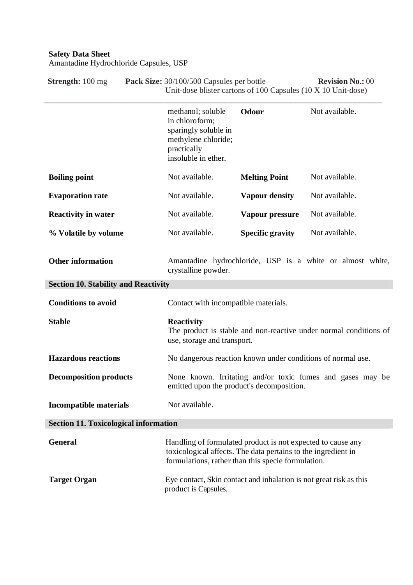| <b>Strength:</b> 100 mg                                                 | Pack Size: 30/100/500 Capsules per bottle<br><b>Revision No.: 00</b><br>Unit-dose blister cartons of 100 Capsules (10 X 10 Unit-dose)                                              |                         |                                                           |
|-------------------------------------------------------------------------|------------------------------------------------------------------------------------------------------------------------------------------------------------------------------------|-------------------------|-----------------------------------------------------------|
|                                                                         | methanol; soluble<br>in chloroform;<br>sparingly soluble in<br>methylene chloride;<br>practically<br>insoluble in ether.                                                           | Odour                   | Not available.                                            |
| <b>Boiling point</b>                                                    | Not available.                                                                                                                                                                     | <b>Melting Point</b>    | Not available.                                            |
| <b>Evaporation rate</b>                                                 | Not available.                                                                                                                                                                     | <b>Vapour density</b>   | Not available.                                            |
| <b>Reactivity in water</b>                                              | Not available.                                                                                                                                                                     | Vapour pressure         | Not available.                                            |
| % Volatile by volume                                                    | Not available.                                                                                                                                                                     | <b>Specific gravity</b> | Not available.                                            |
| <b>Other information</b><br><b>Section 10. Stability and Reactivity</b> | crystalline powder.                                                                                                                                                                |                         | Amantadine hydrochloride, USP is a white or almost white, |
| <b>Conditions to avoid</b>                                              | Contact with incompatible materials.                                                                                                                                               |                         |                                                           |
| <b>Stable</b>                                                           | <b>Reactivity</b><br>The product is stable and non-reactive under normal conditions of<br>use, storage and transport.                                                              |                         |                                                           |
| <b>Hazardous reactions</b>                                              | No dangerous reaction known under conditions of normal use.                                                                                                                        |                         |                                                           |
| <b>Decomposition products</b>                                           | None known. Irritating and/or toxic fumes and gases may be<br>emitted upon the product's decomposition.                                                                            |                         |                                                           |
| <b>Incompatible materials</b>                                           | Not available.                                                                                                                                                                     |                         |                                                           |
| <b>Section 11. Toxicological information</b>                            |                                                                                                                                                                                    |                         |                                                           |
| <b>General</b>                                                          | Handling of formulated product is not expected to cause any<br>toxicological affects. The data pertains to the ingredient in<br>formulations, rather than this specie formulation. |                         |                                                           |
| <b>Target Organ</b>                                                     | Eye contact, Skin contact and inhalation is not great risk as this<br>product is Capsules.                                                                                         |                         |                                                           |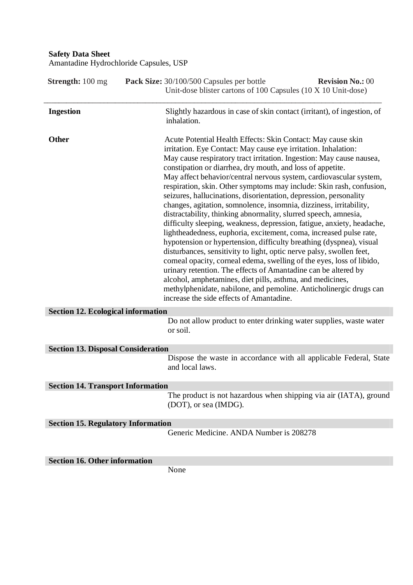| <b>Strength:</b> 100 mg                   | Pack Size: 30/100/500 Capsules per bottle<br><b>Revision No.: 00</b><br>Unit-dose blister cartons of 100 Capsules (10 X 10 Unit-dose)                                                                                                                                                                                                                                                                                                                                                                                                                                                                                                                                                                                                                                                                                                                                                                                                                                                                                                                                                                                                                                                                                                                     |
|-------------------------------------------|-----------------------------------------------------------------------------------------------------------------------------------------------------------------------------------------------------------------------------------------------------------------------------------------------------------------------------------------------------------------------------------------------------------------------------------------------------------------------------------------------------------------------------------------------------------------------------------------------------------------------------------------------------------------------------------------------------------------------------------------------------------------------------------------------------------------------------------------------------------------------------------------------------------------------------------------------------------------------------------------------------------------------------------------------------------------------------------------------------------------------------------------------------------------------------------------------------------------------------------------------------------|
| <b>Ingestion</b>                          | Slightly hazardous in case of skin contact (irritant), of ingestion, of<br>inhalation.                                                                                                                                                                                                                                                                                                                                                                                                                                                                                                                                                                                                                                                                                                                                                                                                                                                                                                                                                                                                                                                                                                                                                                    |
| <b>Other</b>                              | Acute Potential Health Effects: Skin Contact: May cause skin<br>irritation. Eye Contact: May cause eye irritation. Inhalation:<br>May cause respiratory tract irritation. Ingestion: May cause nausea,<br>constipation or diarrhea, dry mouth, and loss of appetite.<br>May affect behavior/central nervous system, cardiovascular system,<br>respiration, skin. Other symptoms may include: Skin rash, confusion,<br>seizures, hallucinations, disorientation, depression, personality<br>changes, agitation, somnolence, insomnia, dizziness, irritability,<br>distractability, thinking abnormality, slurred speech, amnesia,<br>difficulty sleeping, weakness, depression, fatigue, anxiety, headache,<br>lightheadedness, euphoria, excitement, coma, increased pulse rate,<br>hypotension or hypertension, difficulty breathing (dyspnea), visual<br>disturbances, sensitivity to light, optic nerve palsy, swollen feet,<br>corneal opacity, corneal edema, swelling of the eyes, loss of libido,<br>urinary retention. The effects of Amantadine can be altered by<br>alcohol, amphetamines, diet pills, asthma, and medicines,<br>methylphenidate, nabilone, and pemoline. Anticholinergic drugs can<br>increase the side effects of Amantadine. |
| <b>Section 12. Ecological information</b> |                                                                                                                                                                                                                                                                                                                                                                                                                                                                                                                                                                                                                                                                                                                                                                                                                                                                                                                                                                                                                                                                                                                                                                                                                                                           |
|                                           | Do not allow product to enter drinking water supplies, waste water<br>or soil.                                                                                                                                                                                                                                                                                                                                                                                                                                                                                                                                                                                                                                                                                                                                                                                                                                                                                                                                                                                                                                                                                                                                                                            |
| <b>Section 13. Disposal Consideration</b> |                                                                                                                                                                                                                                                                                                                                                                                                                                                                                                                                                                                                                                                                                                                                                                                                                                                                                                                                                                                                                                                                                                                                                                                                                                                           |
|                                           | Dispose the waste in accordance with all applicable Federal, State<br>and local laws.                                                                                                                                                                                                                                                                                                                                                                                                                                                                                                                                                                                                                                                                                                                                                                                                                                                                                                                                                                                                                                                                                                                                                                     |
| <b>Section 14. Transport Information</b>  |                                                                                                                                                                                                                                                                                                                                                                                                                                                                                                                                                                                                                                                                                                                                                                                                                                                                                                                                                                                                                                                                                                                                                                                                                                                           |
|                                           | The product is not hazardous when shipping via air (IATA), ground<br>(DOT), or sea (IMDG).                                                                                                                                                                                                                                                                                                                                                                                                                                                                                                                                                                                                                                                                                                                                                                                                                                                                                                                                                                                                                                                                                                                                                                |
| <b>Section 15. Regulatory Information</b> |                                                                                                                                                                                                                                                                                                                                                                                                                                                                                                                                                                                                                                                                                                                                                                                                                                                                                                                                                                                                                                                                                                                                                                                                                                                           |
|                                           | Generic Medicine. ANDA Number is 208278                                                                                                                                                                                                                                                                                                                                                                                                                                                                                                                                                                                                                                                                                                                                                                                                                                                                                                                                                                                                                                                                                                                                                                                                                   |
| <b>Section 16. Other information</b>      |                                                                                                                                                                                                                                                                                                                                                                                                                                                                                                                                                                                                                                                                                                                                                                                                                                                                                                                                                                                                                                                                                                                                                                                                                                                           |
|                                           | None                                                                                                                                                                                                                                                                                                                                                                                                                                                                                                                                                                                                                                                                                                                                                                                                                                                                                                                                                                                                                                                                                                                                                                                                                                                      |